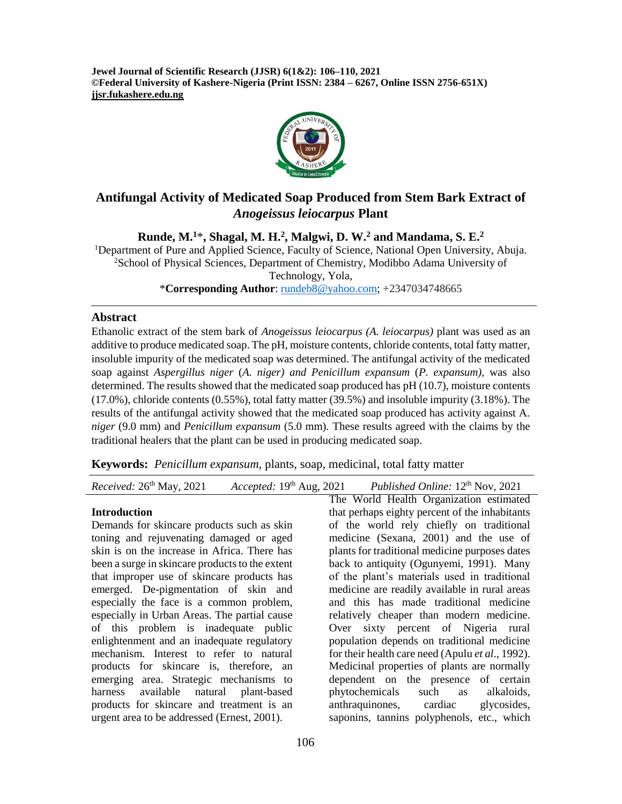**Jewel Journal of Scientific Research (JJSR) 6(1&2): 106–110, 2021 ©Federal University of Kashere-Nigeria (Print ISSN: 2384 – 6267, Online ISSN 2756-651X) jjsr.fukashere.edu.ng**



# **Antifungal Activity of Medicated Soap Produced from Stem Bark Extract of**  *Anogeissus leiocarpus* **Plant**

**Runde, M.<sup>1</sup>**\***, Shagal, M. H.<sup>2</sup> , Malgwi, D. W.<sup>2</sup> and Mandama, S. E.<sup>2</sup>**

<sup>1</sup>Department of Pure and Applied Science, Faculty of Science, National Open University, Abuja. <sup>2</sup>School of Physical Sciences, Department of Chemistry, Modibbo Adama University of Technology, Yola,

\***Corresponding Author**: [rundeb8@yahoo.com;](mailto:rundeb8@yahoo.com) +2347034748665

#### **Abstract**

Ethanolic extract of the stem bark of *Anogeissus leiocarpus (A. leiocarpus)* plant was used as an additive to produce medicated soap. The pH, moisture contents, chloride contents, total fatty matter, insoluble impurity of the medicated soap was determined. The antifungal activity of the medicated soap against *Aspergillus niger* (*A. niger) and Penicillum expansum* (*P. expansum),* was also determined. The results showed that the medicated soap produced has pH (10.7), moisture contents (17.0%), chloride contents (0.55%), total fatty matter (39.5%) and insoluble impurity (3.18%). The results of the antifungal activity showed that the medicated soap produced has activity against A. *niger* (9.0 mm) and *Penicillum expansum* (5.0 mm)*.* These results agreed with the claims by the traditional healers that the plant can be used in producing medicated soap.

**Keywords:** *Penicillum expansum,* plants, soap, medicinal, total fatty matter

| Received: 26 <sup>th</sup> May, 2021 | Accepted: $19th$ Aug, 2021 | Published Online: 12 <sup>th</sup> Nov, 2021 |
|--------------------------------------|----------------------------|----------------------------------------------|
|                                      |                            |                                              |

#### **Introduction**

Demands for skincare products such as skin toning and rejuvenating damaged or aged skin is on the increase in Africa. There has been a surge in skincare products to the extent that improper use of skincare products has emerged. De-pigmentation of skin and especially the face is a common problem, especially in Urban Areas. The partial cause of this problem is inadequate public enlightenment and an inadequate regulatory mechanism. Interest to refer to natural products for skincare is, therefore, an emerging area. Strategic mechanisms to harness available natural plant-based products for skincare and treatment is an urgent area to be addressed (Ernest, 2001).

The World Health Organization estimated that perhaps eighty percent of the inhabitants of the world rely chiefly on traditional medicine (Sexana, 2001) and the use of plants for traditional medicine purposes dates back to antiquity (Ogunyemi, 1991). Many of the plant's materials used in traditional medicine are readily available in rural areas and this has made traditional medicine relatively cheaper than modern medicine. Over sixty percent of Nigeria rural population depends on traditional medicine for their health care need (Apulu *et al*., 1992). Medicinal properties of plants are normally dependent on the presence of certain phytochemicals such as alkaloids, anthraquinones, cardiac glycosides, saponins, tannins polyphenols, etc., which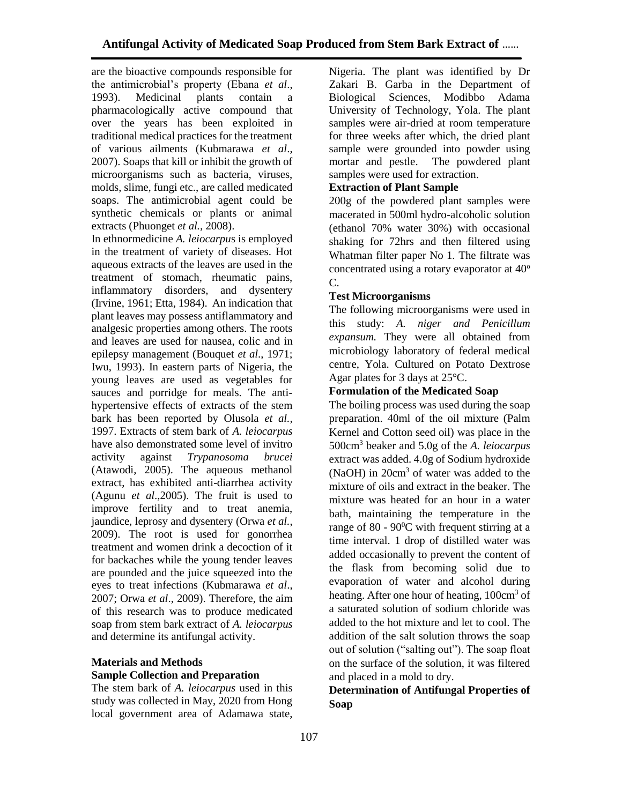are the bioactive compounds responsible for the antimicrobial's property (Ebana *et al*., 1993). Medicinal plants contain a pharmacologically active compound that over the years has been exploited in traditional medical practices for the treatment of various ailments (Kubmarawa *et al*., 2007). Soaps that kill or inhibit the growth of microorganisms such as bacteria, viruses, molds, slime, fungi etc., are called medicated soaps. The antimicrobial agent could be synthetic chemicals or plants or animal extracts (Phuonget *et al.,* 2008).

In ethnormedicine *A. leiocarpu*s is employed in the treatment of variety of diseases. Hot aqueous extracts of the leaves are used in the treatment of stomach, rheumatic pains, inflammatory disorders, and dysentery (Irvine, 1961; Etta, 1984). An indication that plant leaves may possess antiflammatory and analgesic properties among others. The roots and leaves are used for nausea, colic and in epilepsy management (Bouquet *et al*., 1971; Iwu, 1993). In eastern parts of Nigeria, the young leaves are used as vegetables for sauces and porridge for meals. The antihypertensive effects of extracts of the stem bark has been reported by Olusola *et al.,* 1997. Extracts of stem bark of *A. leiocarpus*  have also demonstrated some level of invitro activity against *Trypanosoma brucei*  (Atawodi, 2005). The aqueous methanol extract, has exhibited anti-diarrhea activity (Agunu *et al*.,2005). The fruit is used to improve fertility and to treat anemia, jaundice, leprosy and dysentery (Orwa *et al.*, 2009). The root is used for gonorrhea treatment and women drink a decoction of it for backaches while the young tender leaves are pounded and the juice squeezed into the eyes to treat infections (Kubmarawa *et al*., 2007; Orwa *et al*., 2009). Therefore, the aim of this research was to produce medicated soap from stem bark extract of *A. leiocarpus* and determine its antifungal activity.

## **Materials and Methods Sample Collection and Preparation**

The stem bark of *A. leiocarpus* used in this study was collected in May, 2020 from Hong local government area of Adamawa state, Nigeria. The plant was identified by Dr Zakari B. Garba in the Department of Biological Sciences, Modibbo Adama University of Technology, Yola. The plant samples were air-dried at room temperature for three weeks after which, the dried plant sample were grounded into powder using mortar and pestle. The powdered plant samples were used for extraction.

## **Extraction of Plant Sample**

200g of the powdered plant samples were macerated in 500ml hydro-alcoholic solution (ethanol 70% water 30%) with occasional shaking for 72hrs and then filtered using Whatman filter paper No 1. The filtrate was concentrated using a rotary evaporator at  $40^{\circ}$ C.

#### **Test Microorganisms**

The following microorganisms were used in this study: *A. niger and Penicillum expansum.* They were all obtained from microbiology laboratory of federal medical centre, Yola. Cultured on Potato Dextrose Agar plates for 3 days at 25°C.

#### **Formulation of the Medicated Soap**

The boiling process was used during the soap preparation. 40ml of the oil mixture (Palm Kernel and Cotton seed oil) was place in the 500cm<sup>3</sup> beaker and 5.0g of the *A. leiocarpus*  extract was added. 4.0g of Sodium hydroxide (NaOH) in 20cm<sup>3</sup> of water was added to the mixture of oils and extract in the beaker. The mixture was heated for an hour in a water bath, maintaining the temperature in the range of 80 -  $90^{\circ}$ C with frequent stirring at a time interval. 1 drop of distilled water was added occasionally to prevent the content of the flask from becoming solid due to evaporation of water and alcohol during heating. After one hour of heating, 100cm<sup>3</sup> of a saturated solution of sodium chloride was added to the hot mixture and let to cool. The addition of the salt solution throws the soap out of solution ("salting out"). The soap float on the surface of the solution, it was filtered and placed in a mold to dry.

## **Determination of Antifungal Properties of Soap**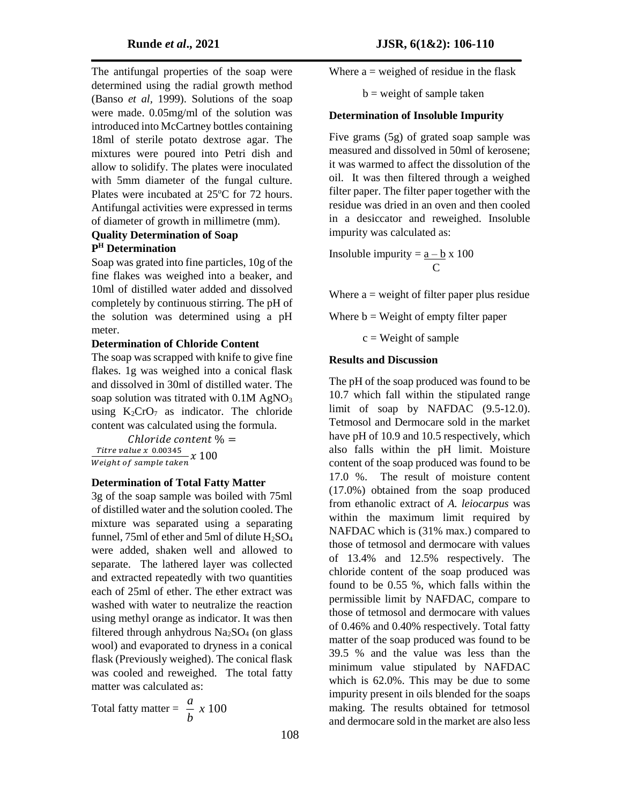The antifungal properties of the soap were determined using the radial growth method (Banso *et al,* 1999). Solutions of the soap were made. 0.05mg/ml of the solution was introduced into McCartney bottles containing 18ml of sterile potato dextrose agar. The mixtures were poured into Petri dish and allow to solidify. The plates were inoculated with 5mm diameter of the fungal culture. Plates were incubated at  $25^{\circ}$ C for 72 hours. Antifungal activities were expressed in terms of diameter of growth in millimetre (mm).

#### **Quality Determination of Soap P <sup>H</sup> Determination**

Soap was grated into fine particles, 10g of the fine flakes was weighed into a beaker, and 10ml of distilled water added and dissolved completely by continuous stirring. The pH of the solution was determined using a pH meter.

#### **Determination of Chloride Content**

The soap was scrapped with knife to give fine flakes. 1g was weighed into a conical flask and dissolved in 30ml of distilled water. The soap solution was titrated with  $0.1M$  AgNO<sub>3</sub> using  $K_2CrO_7$  as indicator. The chloride content was calculated using the formula.

Chloride content  $% =$ Titre value x 0.00345  $\frac{1}{100}$  *Meight of sample taken*  $x$   $100$ 

## **Determination of Total Fatty Matter**

3g of the soap sample was boiled with 75ml of distilled water and the solution cooled. The mixture was separated using a separating funnel, 75ml of ether and 5ml of dilute  $H<sub>2</sub>SO<sub>4</sub>$ were added, shaken well and allowed to separate. The lathered layer was collected and extracted repeatedly with two quantities each of 25ml of ether. The ether extract was washed with water to neutralize the reaction using methyl orange as indicator. It was then filtered through anhydrous  $Na<sub>2</sub>SO<sub>4</sub>$  (on glass wool) and evaporated to dryness in a conical flask (Previously weighed). The conical flask was cooled and reweighed. The total fatty matter was calculated as:

Total fatty matter  $=$   $\frac{\alpha}{2} \times 100$ *b a*

Where  $a =$  weighed of residue in the flask

 $b$  = weight of sample taken

#### **Determination of Insoluble Impurity**

Five grams (5g) of grated soap sample was measured and dissolved in 50ml of kerosene; it was warmed to affect the dissolution of the oil. It was then filtered through a weighed filter paper. The filter paper together with the residue was dried in an oven and then cooled in a desiccator and reweighed. Insoluble impurity was calculated as:

Insoluble impurity =  $a - b x 100$ **C** and **C** 

Where  $a = weight$  of filter paper plus residue

Where  $b = Weight of empty filter paper$ 

 $c = Weight of sample$ 

## **Results and Discussion**

The pH of the soap produced was found to be 10.7 which fall within the stipulated range limit of soap by NAFDAC (9.5-12.0). Tetmosol and Dermocare sold in the market have pH of 10.9 and 10.5 respectively, which also falls within the pH limit. Moisture content of the soap produced was found to be 17.0 %. The result of moisture content (17.0%) obtained from the soap produced from ethanolic extract of *A. leiocarpus* was within the maximum limit required by NAFDAC which is (31% max.) compared to those of tetmosol and dermocare with values of 13.4% and 12.5% respectively. The chloride content of the soap produced was found to be 0.55 %, which falls within the permissible limit by NAFDAC, compare to those of tetmosol and dermocare with values of 0.46% and 0.40% respectively. Total fatty matter of the soap produced was found to be 39.5 % and the value was less than the minimum value stipulated by NAFDAC which is 62.0%. This may be due to some impurity present in oils blended for the soaps making. The results obtained for tetmosol and dermocare sold in the market are also less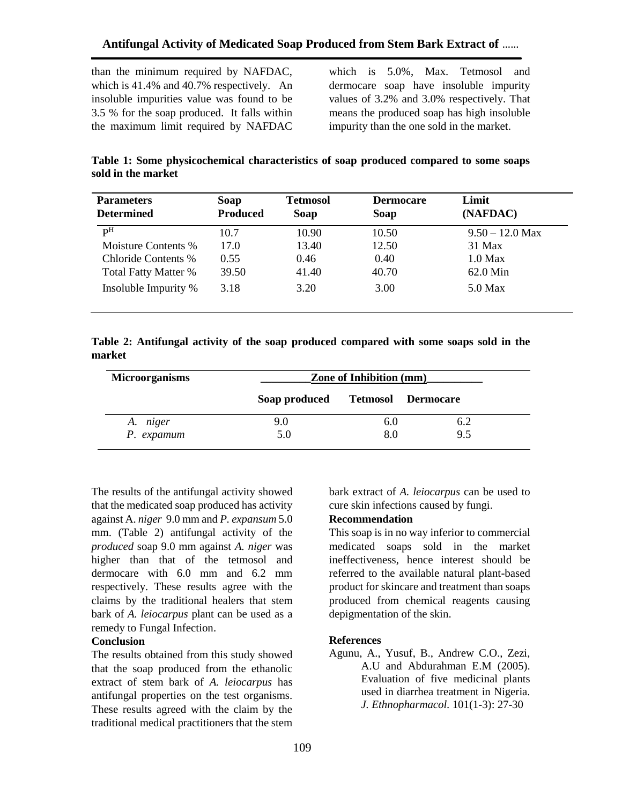than the minimum required by NAFDAC, which is 41.4% and 40.7% respectively. An insoluble impurities value was found to be 3.5 % for the soap produced. It falls within the maximum limit required by NAFDAC

which is 5.0%, Max. Tetmosol and dermocare soap have insoluble impurity values of 3.2% and 3.0% respectively. That means the produced soap has high insoluble impurity than the one sold in the market.

**Table 1: Some physicochemical characteristics of soap produced compared to some soaps sold in the market**

| <b>Parameters</b>           | Soap            | <b>Tetmosol</b> | <b>Dermocare</b> | Limit             |
|-----------------------------|-----------------|-----------------|------------------|-------------------|
| <b>Determined</b>           | <b>Produced</b> | Soap            | Soap             | (NAFDAC)          |
| рH                          | 10.7            | 10.90           | 10.50            | $9.50 - 12.0$ Max |
| Moisture Contents %         | 17.0            | 13.40           | 12.50            | 31 Max            |
| Chloride Contents %         | 0.55            | 0.46            | 0.40             | $1.0$ Max         |
| <b>Total Fatty Matter %</b> | 39.50           | 41.40           | 40.70            | 62.0 Min          |
| Insoluble Impurity %        | 3.18            | 3.20            | 3.00             | $5.0$ Max         |
|                             |                 |                 |                  |                   |

**Table 2: Antifungal activity of the soap produced compared with some soaps sold in the market**

| <b>Microorganisms</b> | <b>Zone of Inhibition (mm)</b> |                           |     |
|-----------------------|--------------------------------|---------------------------|-----|
|                       | Soap produced                  | <b>Tetmosol Dermocare</b> |     |
| A. niger              | 9.0                            | 6.0                       | 6.2 |
| P. expamum            | 5.0                            | 8.0                       | 9.5 |

The results of the antifungal activity showed that the medicated soap produced has activity against A. *niger* 9.0 mm and *P. expansum* 5.0 mm. (Table 2) antifungal activity of the *produced* soap 9.0 mm against *A. niger* was higher than that of the tetmosol and dermocare with 6.0 mm and 6.2 mm respectively. These results agree with the claims by the traditional healers that stem bark of *A. leiocarpus* plant can be used as a remedy to Fungal Infection.

#### **Conclusion**

The results obtained from this study showed that the soap produced from the ethanolic extract of stem bark of *A. leiocarpus* has antifungal properties on the test organisms. These results agreed with the claim by the traditional medical practitioners that the stem

bark extract of *A. leiocarpus* can be used to cure skin infections caused by fungi.

#### **Recommendation**

This soap is in no way inferior to commercial medicated soaps sold in the market ineffectiveness, hence interest should be referred to the available natural plant-based product for skincare and treatment than soaps produced from chemical reagents causing depigmentation of the skin.

#### **References**

Agunu, A., Yusuf, B., Andrew C.O., Zezi, A.U and Abdurahman E.M (2005). Evaluation of five medicinal plants used in diarrhea treatment in Nigeria. *J. Ethnopharmacol.* 101(1-3): 27-30